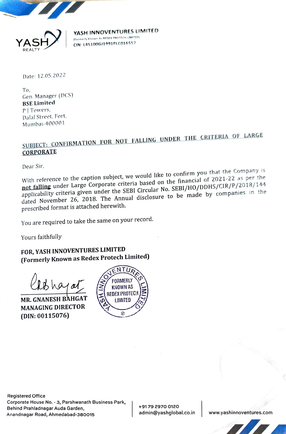

YASH INNOVENTURES LIMITED <sup>A</sup>} { IRormerly Known ke REOEK MROTEOM (SMNTED CIN: L45100GJ1991PLC016557

Date: 12.05.2022

To, Gen. Manager (DCS) BSE Limited P] Towers, Dalal Street, Fort, Mumbai-400001

## SUBJECT: CONFIRMATION FOR NOT FALLING UNDER THE CRITERIA OF LARGE CORPORATE

Dear Sir,

With reference to the caption subject, we would like to confirm<br>with reference to the caption subject, we will be seed on the finance With reference to the caption subject, we we have the financial of 2021-22 as per the<br>not falling under Large Corporate criteria based on the financial of 2021-22 as per the not falling under Large corporate erform one of the SEBI/HO/DDHS/CIR/P/2016/144<br>applicability criteria given under the SEBI Circular No. SEBI/HO/DDHS/CIR/P/2016/144 dated November 26, 2018. The Annual disclosure to be made by companies in the prescribed format is attached herewith. you that the Company is al of 2021-22 as per the

You are required to take the same on your record.

Yours faithfully

FOR, YASH INNOVENTURES LIMITED (Formerly Known as Redex Protech Limited)

MANAGING DIRECTOR (DIN: 00115076)



ate Hou<br>Prahlad<br>อgar Ro<br>อ usiness Parl<br>...<br>... Registered Office Corporate House No. - 3, Parshwanath Business Park Behind Prahladnagar Auda Garden, Anandnagar Road, Ahmedabad-380015

+9179 2970 0120 admin@yashglobal.co.in www.yashinnoventures.com shinnoventures.com